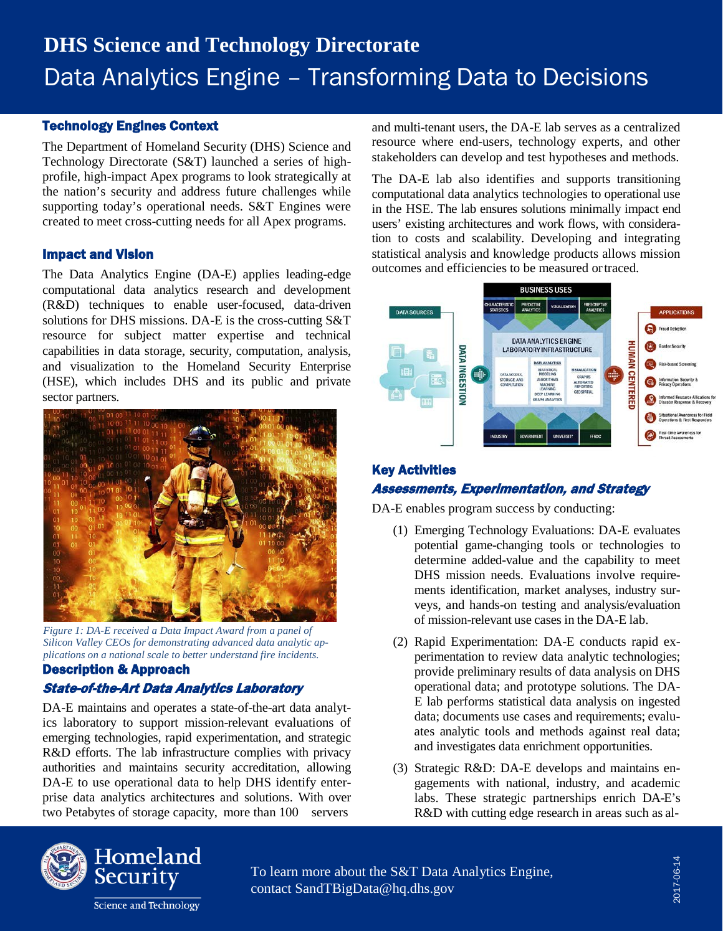# **DHS Science and Technology Directorate** Data Analytics Engine – Transforming Data to Decisions

## Technology Engines Context

The Department of Homeland Security (DHS) Science and Technology Directorate (S&T) launched a series of highprofile, high-impact Apex programs to look strategically at the nation's security and address future challenges while supporting today's operational needs. S&T Engines were created to meet cross-cutting needs for all Apex programs.

### Impact and Vision

The Data Analytics Engine (DA-E) applies leading-edge computational data analytics research and development (R&D) techniques to enable user-focused, data-driven solutions for DHS missions. DA-E is the cross-cutting S&T resource for subject matter expertise and technical capabilities in data storage, security, computation, analysis, and visualization to the Homeland Security Enterprise (HSE), which includes DHS and its public and private sector partners.



*Figure 1: DA-E received a Data Impact Award from a panel of Silicon Valley CEOs for demonstrating advanced data analytic applications on a national scale to better understand fire incidents.*

## Description & Approach State-of-the-Art Data Analytics Laboratory

DA-E maintains and operates a state-of-the-art data analytics laboratory to support mission-relevant evaluations of emerging technologies, rapid experimentation, and strategic R&D efforts. The lab infrastructure complies with privacy authorities and maintains security accreditation, allowing DA-E to use operational data to help DHS identify enterprise data analytics architectures and solutions. With over two Petabytes of storage capacity, more than 100 servers

and multi-tenant users, the DA-E lab serves as a centralized resource where end-users, technology experts, and other stakeholders can develop and test hypotheses and methods.

The DA-E lab also identifies and supports transitioning computational data analytics technologies to operational use in the HSE. The lab ensures solutions minimally impact end users' existing architectures and work flows, with consideration to costs and scalability. Developing and integrating statistical analysis and knowledge products allows mission outcomes and efficiencies to be measured ortraced.



## Key Activities Assessments, Experimentation, and Strategy

DA-E enables program success by conducting:

- (1) Emerging Technology Evaluations: DA-E evaluates potential game-changing tools or technologies to determine added-value and the capability to meet DHS mission needs. Evaluations involve requirements identification, market analyses, industry surveys, and hands-on testing and analysis/evaluation of mission-relevant use cases in the DA-E lab.
- (2) Rapid Experimentation: DA-E conducts rapid experimentation to review data analytic technologies; provide preliminary results of data analysis on DHS operational data; and prototype solutions. The DA-E lab performs statistical data analysis on ingested data; documents use cases and requirements; evaluates analytic tools and methods against real data; and investigates data enrichment opportunities.
- (3) Strategic R&D: DA-E develops and maintains engagements with national, industry, and academic labs. These strategic partnerships enrich DA-E's R&D with cutting edge research in areas such as al-



To learn more about the S&T Data Analytics Engine, [contact SandTBigData@hq.dhs.gov](mailto:SandTBigData@hq.dhs.gov)